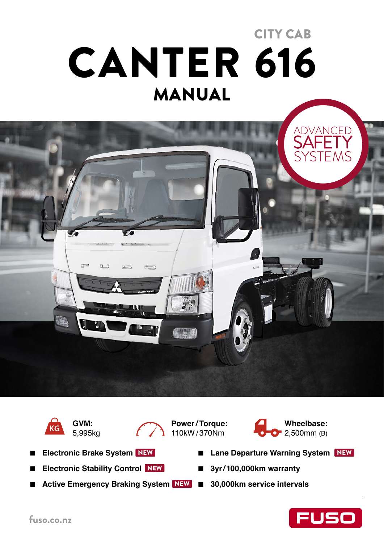# MANUAL CANTER 616 CITY CAB





**GVM:**  5,995kg



**Power / Torque:**  110kW / 370Nm



- **Electronic Brake System** NEW
- **■ Electronic Stability Control** NEW
- Active Emergency Braking System NEW 30,000km service intervals
- Lane Departure Warning System NEW
- **■ 3yr / 100,000km warranty** 
	-

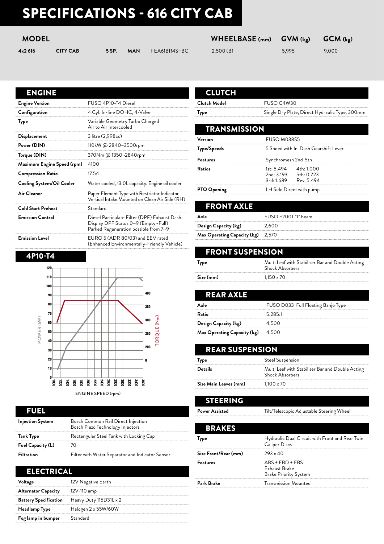# SPECIFICATIONS - 616 CITY CAB

### **MODEL WHEELBASE (mm) GVM (kg) GCM (kg)**

| 4x2 616 | <b>CITY CAB</b> |  | <b>5 SP. MAN</b> FEA61BR4SFBC | 2,500(B) | 5,995 | 9,000 |
|---------|-----------------|--|-------------------------------|----------|-------|-------|
|         |                 |  |                               |          |       |       |

|  |  | , , , , <b>, , , , , , , , , ,</b> , |  |  |  |  |
|--|--|--------------------------------------|--|--|--|--|
|  |  | 2E(0)(D)                             |  |  |  |  |

### ENGINE

| <b>Engine Version</b>      | FUSO 4P10-T4 Diesel                                                                                                          |
|----------------------------|------------------------------------------------------------------------------------------------------------------------------|
| Configuration              | 4 Cyl. In-line DOHC, 4-Valve                                                                                                 |
| Type                       | Variable Geometry Turbo Charged<br>Air to Air Intercooled                                                                    |
| Displacement               | 3 litre (2,998cc)                                                                                                            |
| Power (DIN)                | 110kW @ 2840~3500rpm                                                                                                         |
| Torque (DIN)               | 370Nm @ 1350~2840rpm                                                                                                         |
| Maximum Engine Speed (rpm) | 4100                                                                                                                         |
| <b>Compression Ratio</b>   | 17.5:1                                                                                                                       |
| Cooling System/Oil Cooler  | Water cooled, 13.0L capacity. Engine oil cooler                                                                              |
| Air Cleaner                | Paper Element Type with Restrictor Indicator.<br>Vertical Intake Mounted on Clean Air Side (RH)                              |
| <b>Cold Start Preheat</b>  | Standard                                                                                                                     |
| <b>Emission Control</b>    | Diesel Particulate Filter (DPF) Exhaust Dash<br>Display DPF Status 0~9 (Empty~Full)<br>Parked Regeneration possible from 7~9 |
| <b>Emission Level</b>      | EURO 5 (ADR 80/03) and EEV rated                                                                                             |

(Enhanced Environmentally-Friendly Vehicle)

#### 4P10-T4



#### FUEL **Injection System** Bosch Common Rail Direct Injection Bosch Piezo Technology Injectors **Tank Type** Rectangular Steel Tank with Locking Cap **Fuel Capacity (L)** 70

| <b>Filtration</b> | Filter with Water Separator and Indicator Sensor |
|-------------------|--------------------------------------------------|

#### ELECTRICAL

| Voltage                    | 12V Negative Earth                                  |
|----------------------------|-----------------------------------------------------|
| <b>Alternator Capacity</b> | 12V-110 amp                                         |
|                            | <b>Battery Specification</b> Heavy Duty 115D31L x 2 |
| <b>Headlamp Type</b>       | Halogen 2 x 55W/60W                                 |
| Fog lamp in bumper         | Standard                                            |
|                            |                                                     |

|  | 11 |   |   |
|--|----|---|---|
|  | I  | Π | ш |

**Clutch Model** FUSO C4W30

**Type** Single Dry Plate, Direct Hydraulic Type, 300mm

| <b>TRANSMISSION</b> |                                                                         |
|---------------------|-------------------------------------------------------------------------|
| Version             | FUSO M038S5                                                             |
| Type/Speeds         | 5 Speed with In-Dash Gearshift Lever                                    |
| <b>Features</b>     | Synchromesh 2nd-5th                                                     |
| Ratios              | 1st: 5.494 4th: 1.000<br>2nd: 3.193 5th: 0.723<br>3rd: 1.689 Rev. 5.494 |
| <b>PTO Opening</b>  | LH Side Direct with pump                                                |

| <b>FRONT AXLE</b>           |                     |
|-----------------------------|---------------------|
| Axle                        | FUSO F200T "I" beam |
| Design Capacity (kg)        | 2,600               |
| Max Operating Capacity (kg) | 2,570               |

| <b>FRONT SUSPENSION</b> |                                                                            |
|-------------------------|----------------------------------------------------------------------------|
| Type                    | Multi Leaf with Stabiliser Bar and Double Acting<br><b>Shock Absorbers</b> |
| Size (mm)               | $1.150 \times 70$                                                          |

| REAR AXLE                          |                                    |
|------------------------------------|------------------------------------|
| Axle                               | FUSO D033 Full Floating Banjo Type |
| Ratio                              | 5.285:1                            |
| Design Capacity (kg)               | 4,500                              |
| <b>Max Operating Capacity (kg)</b> | 4,500                              |

#### REAR SUSPENSION

| Type                  | Steel Suspension                                                           |
|-----------------------|----------------------------------------------------------------------------|
| <b>Details</b>        | Multi Leaf with Stabiliser Bar and Double Acting<br><b>Shock Absorbers</b> |
| Size Main Leaves (mm) | $1.100 \times 70$                                                          |

STEERING

Power Assisted **Tilt/Telescopic Adjustable Steering Wheel** 

| <b>BRAKES</b>        |                                                                         |
|----------------------|-------------------------------------------------------------------------|
| <b>Type</b>          | Hydraulic Dual Circuit with Front and Rear Twin<br><b>Caliper Discs</b> |
| Size Front/Rear (mm) | $293 \times 40$                                                         |
| <b>Features</b>      | $ABS + EBD + EBS$<br>Exhaust Brake<br><b>Brake Priority System</b>      |
| Park Brake           | <b>Transmission Mounted</b>                                             |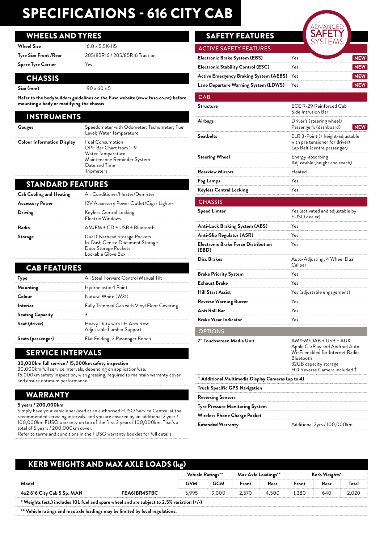# SPECIFICATIONS - 616 CITY CAB

#### WHEELS AND TYRES

| <b>Wheel Size</b>      | $16.0 \times 5.5K - 115$       |
|------------------------|--------------------------------|
| Tyre Size Front / Rear | 205/85R16 / 205/85R16 Traction |
| Spare Tyre Carrier     | Yes                            |
|                        |                                |

#### **CHASSIS**

**Size (mm)** 190 x 60 x 5

**Refer to the bodybuilders guidelines on the Fuso website (www.fuso.co.nz) before mounting a body or modifying the chassis**

#### INSTRUMENTS

| Gauges                            | Speedometer with Odometer; Tachometer; Fuel<br>Level; Water Temperature                                                                     |
|-----------------------------------|---------------------------------------------------------------------------------------------------------------------------------------------|
| <b>Colour Information Display</b> | <b>Fuel Consumption</b><br>DPF Bar Chart from 1~9<br>Water Temperature<br>Maintenance Reminder System<br>Date and Time<br><b>Tripmeters</b> |

#### STANDARD FEATURES

| <b>Cab Cooling and Heating</b> | Air Conditioner/Heater/Demister                                                                                |
|--------------------------------|----------------------------------------------------------------------------------------------------------------|
| <b>Accessory Power</b>         | 12V Accessory Power Outlet/Cigar Lighter                                                                       |
| Driving                        | Keyless Central Locking<br>Electric Windows                                                                    |
| Radio                          | AM/FM + CD + USB + Bluetooth                                                                                   |
| Storage                        | Dual Overhead Storage Pockets<br>In-Dash Centre Document Storage<br>Door Storage Pockets<br>Lockable Glove Box |

#### CAB FEATURES **Type** All Steel Forward Control Manual Tilt **Mounting** Hydroelastic 4 Point **Colour** Natural White (W31) **Interior** Fully Trimmed Cab with Vinyl Floor Covering **Seating Capacity** 3 **Seat (driver)** Heavy Duty with LH Arm Rest Adjustable Lumbar Support **Seats (passenger)** Flat Folding, 2 Passenger Bench

SERVICE INTERVALS

**30,000km full service / 15,000km safety inspection**

30,000km full service intervals, depending on application/use.

15,000km safety inspection, with greasing, required to maintain warranty cover and ensure optimum performance.

#### WARRANTY

**5 years / 200,000km**

Simply have your vehicle serviced at an authorised FUSO Service Centre, at the recommended servicing intervals, and you are covered by an additional 2 year / 100,000km FUSO warranty on top of the first 3 years / 100,000km. That's a total of 5 years / 200,000km cover.

Refer to terms and conditions in the FUSO warranty booklet for full details.

### SAFETY FEATURES

| <b>ACTIVE SAFETY FEATURES</b>              |     |  |
|--------------------------------------------|-----|--|
| Electronic Brake System (EBS)              | Υρς |  |
| <b>Electronic Stability Control (ESC)</b>  | Yes |  |
| Active Emergency Braking System (AEBS) Yes |     |  |
| Lane Departure Warning System (LDWS)       | Yes |  |
|                                            |     |  |

#### **CAB Structure** ECE R-29 Reinforced Cab Side Intrusion Bar **Airbags** Driver's (steering wheel) Passenger's (dashboard) **Seatbelts** ELR 3-Point (+ height-adjustable with pre tensioner for driver) Lap Belt (centre passenger) **Steering Wheel Energy-absorbing** Adjustable (height and reach) **Rearview Mirrors Heated Fog Lamps** Yes **Keyless Central Locking Yes** NEW

| <b>CHASSIS</b>                                            |                                                                                                                                                                              |
|-----------------------------------------------------------|------------------------------------------------------------------------------------------------------------------------------------------------------------------------------|
| <b>Speed Limter</b>                                       | Yes (activated and adjustable by<br>FUSO dealer)                                                                                                                             |
| Anti-Lock Braking System (ABS)                            | Yes                                                                                                                                                                          |
| Anti-Slip Regulator (ASR)                                 | Yes                                                                                                                                                                          |
| <b>Electronic Brake Force Distribution</b><br>(EBD)       | Yes                                                                                                                                                                          |
| Disc Brakes                                               | Auto-Adjusting, 4 Wheel Dual<br>Caliper                                                                                                                                      |
| <b>Brake Priority System</b>                              | Yes                                                                                                                                                                          |
| <b>Exhaust Brake</b>                                      | Yes                                                                                                                                                                          |
| <b>Hill Start Assist</b>                                  | Yes (adjustable engagement)                                                                                                                                                  |
| <b>Reverse Warning Buzzer</b>                             | Yes                                                                                                                                                                          |
| Anti Roll Bar                                             | Yes                                                                                                                                                                          |
| <b>Brake Wear Indicator</b>                               | Yes                                                                                                                                                                          |
| <b>OPTIONS</b>                                            |                                                                                                                                                                              |
| 7" Touchscreen Media Unit                                 | AM/FM/DAB + USB + AUX<br>Apple CarPlay and Android Auto<br>Wi-Fi enabled for Internet Radio<br>Bluetooth<br>32GB capacity storage<br>HD Reverse Camera included <sup>†</sup> |
| $\dagger$ Additional Multimedia Display Cameras (up to 4) |                                                                                                                                                                              |
| <b>Truck Specific GPS Navigation</b>                      |                                                                                                                                                                              |
| <b>Reversing Sensors</b>                                  |                                                                                                                                                                              |
| Tyre Pressure Monitoring System                           |                                                                                                                                                                              |
| Wireless Phone Charge Pocket                              |                                                                                                                                                                              |

**Extended Warranty** Additional 2yrs / 100,000km

### KERB WEIGHTS AND MAX AXLE LOADS (kg) **Vehicle Ratings\*\* Max Axle Loadings\*\* Kerb Weights\* Model GVM GCM Front Rear Front Rear Total 4x2 616 City Cab 5 Sp. MAN FEA61BR4SFBC** 5,995 9,000 2,570 4,500 1,380 640 2,020 **\* Weights (est.) includes 10L fuel and spare wheel and are subject to 2.5% variation (+/-)**

**\*\* Vehicle ratings and max axle loadings may be limited by local regulations.**